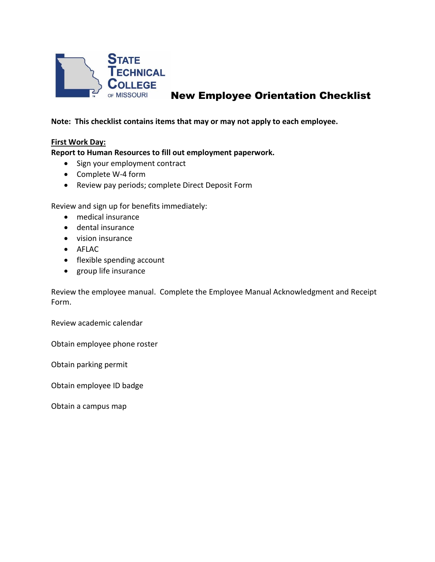

# New Employee Orientation Checklist

**Note: This checklist contains items that may or may not apply to each employee.** 

## **First Work Day:**

**Report to Human Resources to fill out employment paperwork.**

- Sign your employment contract
- Complete W-4 form
- Review pay periods; complete Direct Deposit Form

Review and sign up for benefits immediately:

- medical insurance
- dental insurance
- vision insurance
- AFLAC
- flexible spending account
- group life insurance

Review the employee manual. Complete the Employee Manual Acknowledgment and Receipt Form.

Review academic calendar

Obtain employee phone roster

Obtain parking permit

Obtain employee ID badge

Obtain a campus map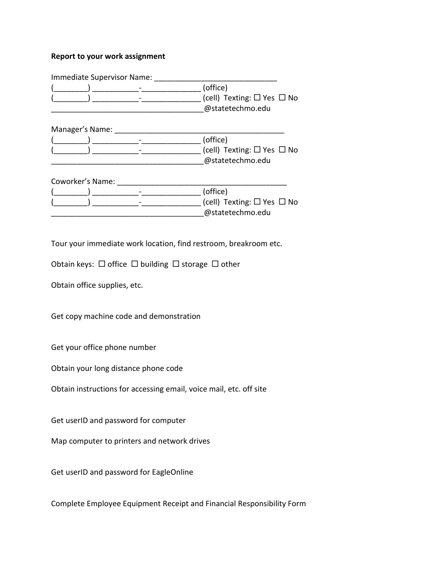### **Report to your work assignment**

|                  | Immediate Supervisor Name: |                                                                |
|------------------|----------------------------|----------------------------------------------------------------|
|                  |                            | (office)                                                       |
|                  |                            | (cell) Texting: $\Box$ Yes $\Box$ No<br>@statetechmo.edu       |
| Manager's Name:  |                            |                                                                |
|                  |                            | (office)                                                       |
|                  |                            | (cell) Texting: $\square$ Yes $\square$ No<br>@statetechmo.edu |
| Coworker's Name: |                            |                                                                |
|                  |                            | (office)                                                       |
|                  |                            | (cell) Texting: $\square$ Yes $\square$ No                     |
|                  |                            | @statetechmo.edu                                               |

Tour your immediate work location, find restroom, breakroom etc.

Obtain keys:  $\Box$  office  $\Box$  building  $\Box$  storage  $\Box$  other

Obtain office supplies, etc.

Get copy machine code and demonstration

Get your office phone number

Obtain your long distance phone code

Obtain instructions for accessing email, voice mail, etc. off site

Get userID and password for computer

Map computer to printers and network drives

Get userID and password for EagleOnline

Complete Employee Equipment Receipt and Financial Responsibility Form